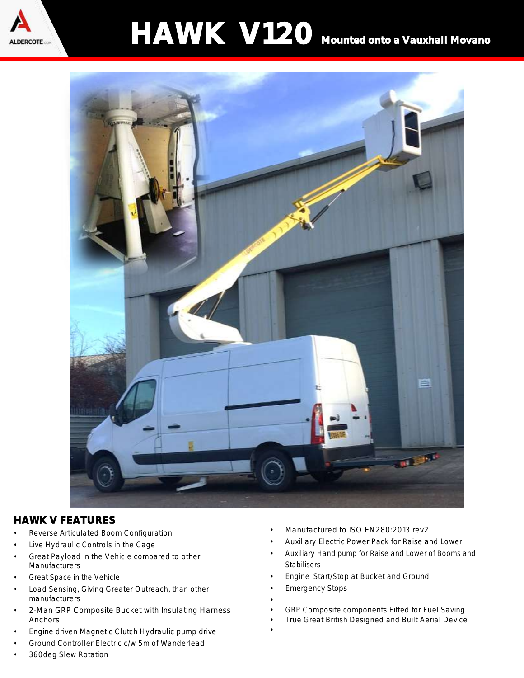

# HAWK V120 Mounted onto a Vauxhall Movano



### HAWK V FEATURES

- Reverse Articulated Boom Configuration
- Live Hydraulic Controls in the Cage
- Great Payload in the Vehicle compared to other **Manufacturers**
- Great Space in the Vehicle
- Load Sensing, Giving Greater Outreach, than other manufacturers
- 2-Man GRP Composite Bucket with Insulating Harness Anchors
- Engine driven Magnetic Clutch Hydraulic pump drive
- Ground Controller Electric c/w 5m of Wanderlead
- 360deg Slew Rotation
- Manufactured to ISO EN280:2013 rev2
- Auxiliary Electric Power Pack for Raise and Lower
- Auxiliary Hand pump for Raise and Lower of Booms and Stabilisers
- Engine Start/Stop at Bucket and Ground
- **Emergency Stops**

•

- GRP Composite components Fitted for Fuel Saving
- True Great British Designed and Built Aerial Device